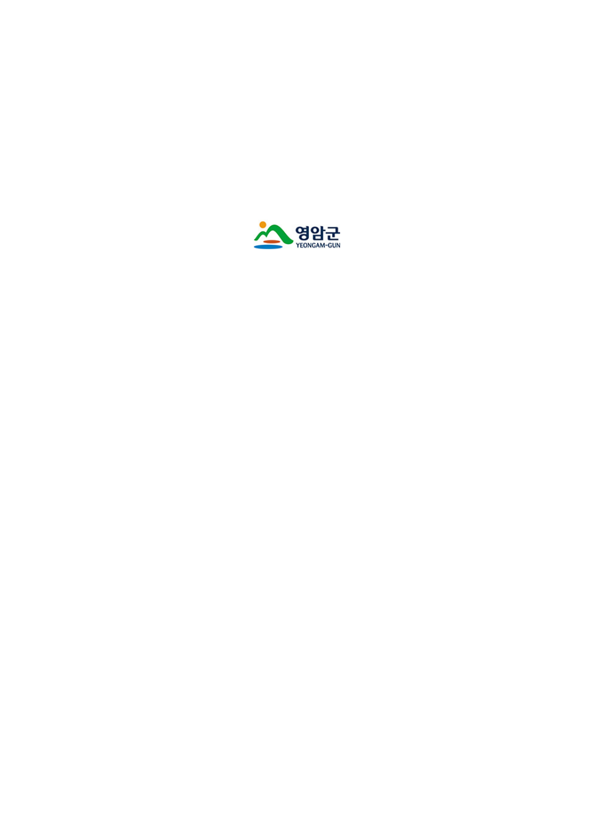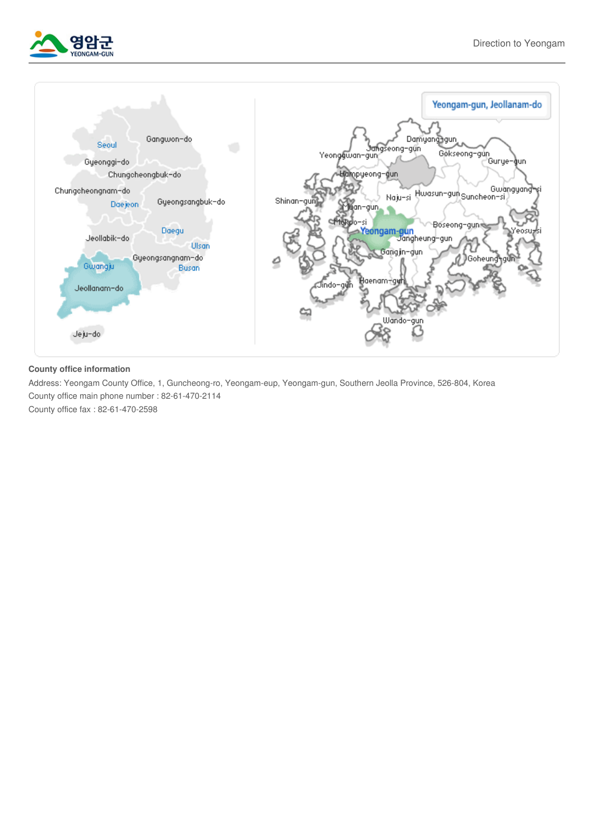



## **County office information**

Address: Yeongam County Office, 1, Guncheong-ro, Yeongam-eup, Yeongam-gun, Southern Jeolla Province, 526-804, Korea County office main phone number : 82-61-470-2114

County office fax : 82-61-470-2598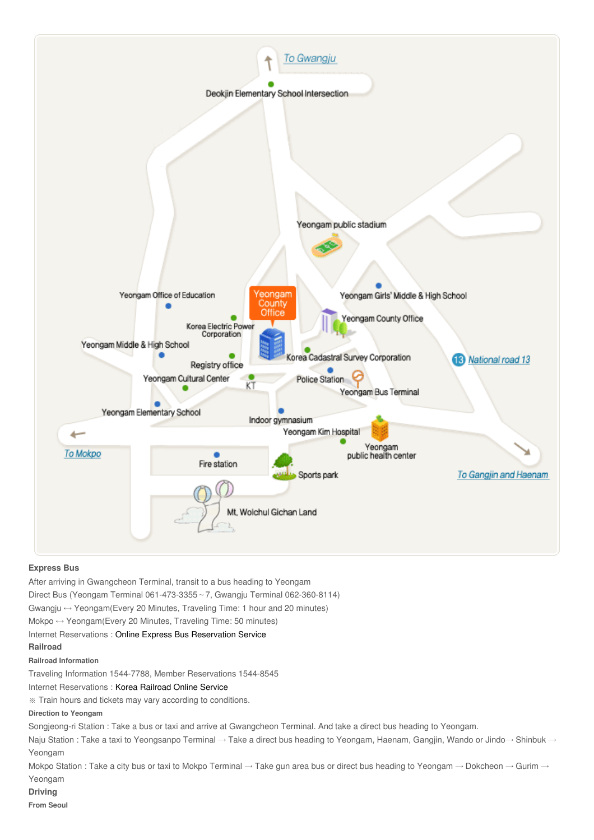

## **Express Bus**

After arriving in Gwangcheon Terminal, transit to a bus heading to Yeongam Direct Bus (Yeongam Terminal 061-473-3355∼7, Gwangju Terminal 062-360-8114) Gwangju  $\leftrightarrow$  Yeongam(Every 20 Minutes, Traveling Time: 1 hour and 20 minutes) Mokpo ↔ Yeongam(Every 20 Minutes, Traveling Time: 50 minutes) Internet Reservations : Online Express Bus [Reservation](http://www.kobus.co.kr/web/main/index.jsp) Service **Railroad Railroad Information** Traveling Information 1544-7788, Member Reservations 1544-8545 Internet Reservations : Korea [Railroad](http://info.korail.com/mbs/www/index.jsp) Online Service ※ Train hours and tickets may vary according to conditions. **Direction to Yeongam** Songjeong-ri Station : Take a bus or taxi and arrive at Gwangcheon Terminal. And take a direct bus heading to Yeongam. Naju Station : Take a taxi to Yeongsanpo Terminal → Take a direct bus heading to Yeongam, Haenam, Gangjin, Wando or Jindo→ Shinbuk → Yeongam Mokpo Station : Take a city bus or taxi to Mokpo Terminal  $\to$  Take gun area bus or direct bus heading to Yeongam  $\to$  Dokcheon  $\to$  Gurim  $\to$ Yeongam **Driving**

## **From Seoul**